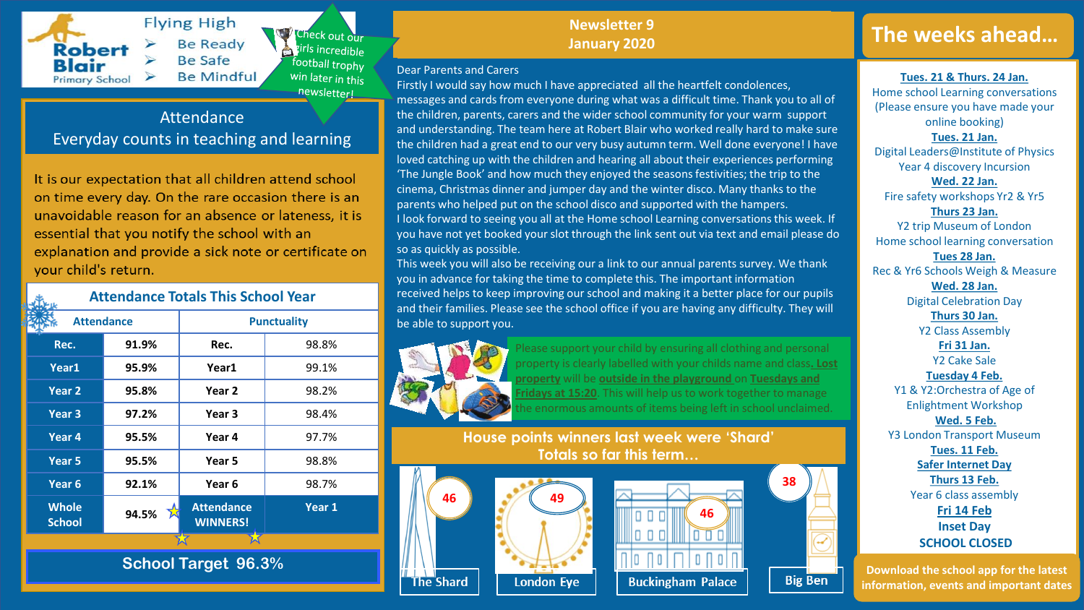

**Flying High** Check out our **Be Ready** tirls incredible **Be Safe** football trophy **Be Mindful** win later in this newsletter!

## Attendance Everyday counts in teaching and learning

It is our expectation that all children attend school on time every day. On the rare occasion there is an unavoidable reason for an absence or lateness, it is essential that you notify the school with an explanation and provide a sick note or certificate on your child's return.

**Attendance Totals This School Year** Attendance **Reserves Punctuality Rec. 91.9% Rec.** 98.8% **Year1 95.9% Year1** 99.1% **Year 2 95.8% Year 2** 98.2% **Year 3 97.2% Year 3** 98.4% **Year 4 95.5% Year 4** 97.7% **Year 5 95.5% Year 5** 98.8% **Year 6 92.1% Year 6** 98.7% **Whole School 94.5% Attendance CONSISTENT BUTER**S **WINNERS! Year 1**

**School Target 96.3%**

# **Newsletter 9 Newsletter 9**

Firstly I would say how much I have appreciated all the heartfelt condolences,

## Dear Parents and Carers

so as quickly as possible.

be able to support you.

**January 2020 January 2020**

messages and cards from everyone during what was a difficult time. Thank you to all of the children, parents, carers and the wider school community for your warm support and understanding. The team here at Robert Blair who worked really hard to make sure the children had a great end to our very busy autumn term. Well done everyone! I have loved catching up with the children and hearing all about their experiences performing 'The Jungle Book' and how much they enjoyed the seasons festivities; the trip to the cinema, Christmas dinner and jumper day and the winter disco. Many thanks to the parents who helped put on the school disco and supported with the hampers.

I look forward to seeing you all at the Home school Learning conversations this week. If you have not yet booked your slot through the link sent out via text and email please do

This week you will also be receiving our a link to our annual parents survey. We thank

received helps to keep improving our school and making it a better place for our pupils and their families. Please see the school office if you are having any difficulty. They will

you in advance for taking the time to complete this. The important information

## **The weeks ahead…**

**Tues. 21 & Thurs. 24 Jan.** 

Home school Learning conversations (Please ensure you have made your online booking) **Tues. 21 Jan.** Digital Leaders@Institute of Physics Year 4 discovery Incursion **Wed. 22 Jan.** Fire safety workshops Yr2 & Yr5 **Thurs 23 Jan.** Y2 trip Museum of London Home school learning conversation **Tues 28 Jan.** Rec & Yr6 Schools Weigh & Measure **Wed. 28 Jan.** Digital Celebration Day **Thurs 30 Jan.** Y2 Class Assembly **Fri 31 Jan.** Y2 Cake Sale **Tuesday 4 Feb.** Y1 & Y2:Orchestra of Age of Enlightment Workshop **Wed. 5 Feb.** Y3 London Transport Museum **Tues. 11 Feb. Safer Internet Day**

> **Thurs 13 Feb.** Year 6 class assembly

**Fri 14 Feb Inset Day SCHOOL CLOSED**

**Download the school app for the latest information, events and important dates**



Please support your child by ensuring all clothing and personal property is clearly labelled with your childs name and class**. Lost property** will be **outside in the playground** on **Tuesdays and Fridays at 15:20**. This will help us to work together to manage ne enormous amounts of items being left in school unclaimed.

**House points winners last week were 'Shard' Totals so far this term…**





**38**

**Big Ben**